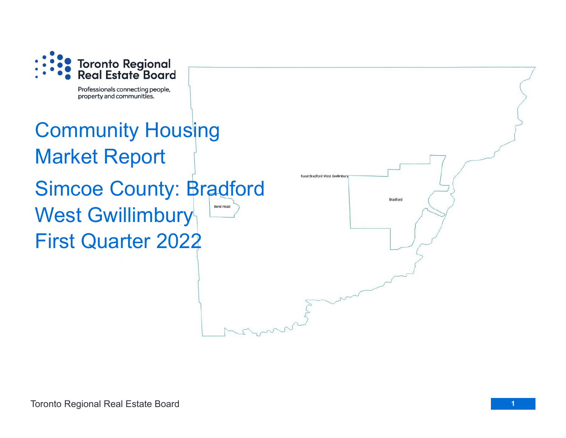

Professionals connecting people, property and communities.

## Community Housing Market Report Simcoe County: Bradford **Bond Head** West Gwillimbury First Quarter 2022

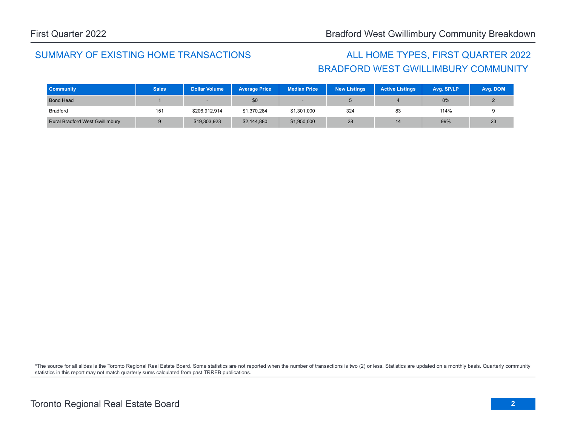### SUMMARY OF EXISTING HOME TRANSACTIONS ALL HOME TYPES, FIRST QUARTER 2022

# BRADFORD WEST GWILLIMBURY COMMUNITY

| <b>Community</b>                       | <b>Sales</b> | <b>Dollar Volume</b> | <b>Average Price</b> | <b>Median Price</b> | <b>New Listings</b> | <b>Active Listings</b> | Avg. SP/LP | Avg. DOM |
|----------------------------------------|--------------|----------------------|----------------------|---------------------|---------------------|------------------------|------------|----------|
| <b>Bond Head</b>                       |              |                      | \$0                  |                     |                     |                        | 0%         |          |
| Bradford                               | 151          | \$206,912,914        | \$1,370,284          | \$1,301,000         | 324                 | 83                     | 114%       |          |
| <b>Rural Bradford West Gwillimbury</b> |              | \$19,303,923         | \$2,144,880          | \$1,950,000         | 28                  | 14                     | 99%        | 23       |

\*The source for all slides is the Toronto Regional Real Estate Board. Some statistics are not reported when the number of transactions is two (2) or less. Statistics are updated on a monthly basis. Quarterly community statistics in this report may not match quarterly sums calculated from past TRREB publications.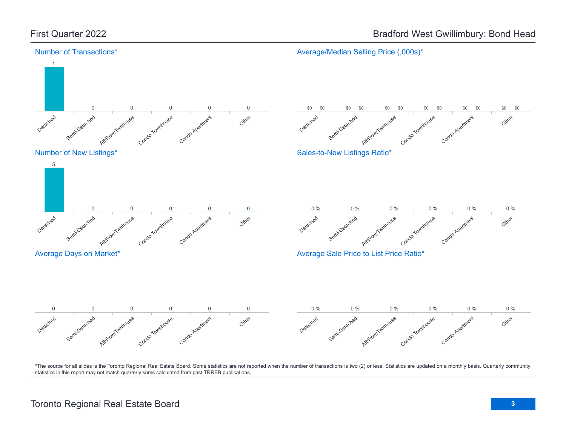

\*The source for all slides is the Toronto Regional Real Estate Board. Some statistics are not reported when the number of transactions is two (2) or less. Statistics are updated on a monthly basis. Quarterly community statistics in this report may not match quarterly sums calculated from past TRREB publications.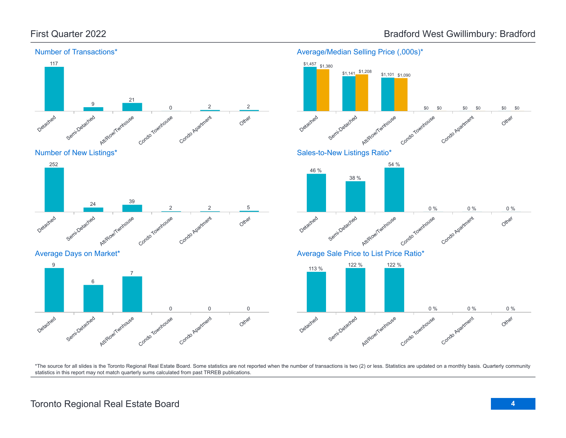

#### Average/Median Selling Price (,000s)\*



\*The source for all slides is the Toronto Regional Real Estate Board. Some statistics are not reported when the number of transactions is two (2) or less. Statistics are updated on a monthly basis. Quarterly community statistics in this report may not match quarterly sums calculated from past TRREB publications.